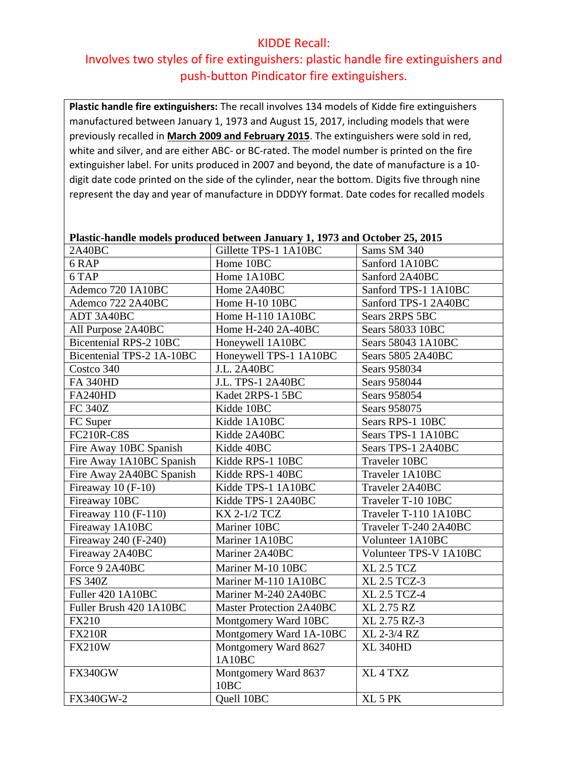#### KIDDE Recall:

## Involves two styles of fire extinguishers: plastic handle fire extinguishers and push-button Pindicator fire extinguishers.

**Plastic handle fire extinguishers:** The recall involves 134 models of Kidde fire extinguishers manufactured between January 1, 1973 and August 15, 2017, including models that were previously recalled in **March 2009 and February 2015**. The extinguishers were sold in red, white and silver, and are either ABC- or BC-rated. The model number is printed on the fire extinguisher label. For units produced in 2007 and beyond, the date of manufacture is a 10 digit date code printed on the side of the cylinder, near the bottom. Digits five through nine represent the day and year of manufacture in DDDYY format. Date codes for recalled models

#### **Plastic-handle models produced between January 1, 1973 and October 25, 2015**

| 2A40BC                        | Gillette TPS-1 1A10BC           | Sams SM 340            |
|-------------------------------|---------------------------------|------------------------|
| 6RAP                          | Home 10BC                       | Sanford 1A10BC         |
| 6 TAP                         | Home 1A10BC                     | Sanford 2A40BC         |
| Ademco 720 1A10BC             | Home 2A40BC                     | Sanford TPS-1 1A10BC   |
| Ademco 722 2A40BC             | Home H-10 10BC                  | Sanford TPS-1 2A40BC   |
| ADT 3A40BC                    | Home H-110 1A10BC               | Sears 2RPS 5BC         |
| All Purpose 2A40BC            | Home H-240 2A-40BC              | Sears 58033 10BC       |
| <b>Bicentenial RPS-2 10BC</b> | Honeywell 1A10BC                | Sears 58043 1A10BC     |
| Bicentenial TPS-2 1A-10BC     | Honeywell TPS-1 1A10BC          | Sears 5805 2A40BC      |
| Costco 340                    | <b>J.L. 2A40BC</b>              | Sears 958034           |
| <b>FA 340HD</b>               | J.L. TPS-1 2A40BC               | Sears 958044           |
| <b>FA240HD</b>                | Kadet 2RPS-1 5BC                | Sears 958054           |
| <b>FC 340Z</b>                | Kidde 10BC                      | Sears 958075           |
| FC Super                      | Kidde 1A10BC                    | Sears RPS-1 10BC       |
| <b>FC210R-C8S</b>             | Kidde 2A40BC                    | Sears TPS-1 1A10BC     |
| Fire Away 10BC Spanish        | Kidde 40BC                      | Sears TPS-1 2A40BC     |
| Fire Away 1A10BC Spanish      | Kidde RPS-1 10BC                | Traveler 10BC          |
| Fire Away 2A40BC Spanish      | Kidde RPS-1 40BC                | Traveler 1A10BC        |
| Fireaway 10 (F-10)            | Kidde TPS-1 1A10BC              | Traveler 2A40BC        |
| Fireaway 10BC                 | Kidde TPS-1 2A40BC              | Traveler T-10 10BC     |
| Fireaway 110 (F-110)          | KX 2-1/2 TCZ                    | Traveler T-110 1A10BC  |
| Fireaway 1A10BC               | Mariner 10BC                    | Traveler T-240 2A40BC  |
| Fireaway 240 (F-240)          | Mariner 1A10BC                  | Volunteer 1A10BC       |
| Fireaway 2A40BC               | Mariner 2A40BC                  | Volunteer TPS-V 1A10BC |
| Force 9 2A40BC                | Mariner M-10 10BC               | <b>XL 2.5 TCZ</b>      |
| <b>FS 340Z</b>                | Mariner M-110 1A10BC            | XL 2.5 TCZ-3           |
| Fuller 420 1A10BC             | Mariner M-240 2A40BC            | XL 2.5 TCZ-4           |
| Fuller Brush 420 1A10BC       | <b>Master Protection 2A40BC</b> | <b>XL 2.75 RZ</b>      |
| <b>FX210</b>                  | Montgomery Ward 10BC            | XL 2.75 RZ-3           |
| <b>FX210R</b>                 | Montgomery Ward 1A-10BC         | XL 2-3/4 RZ            |
| <b>FX210W</b>                 | Montgomery Ward 8627<br>1A10BC  | <b>XL 340HD</b>        |
| <b>FX340GW</b>                | Montgomery Ward 8637            | XL <sub>4</sub> TXZ    |
|                               | 10 <sub>BC</sub>                |                        |
| <b>FX340GW-2</b>              | Quell 10BC                      | XL <sub>5</sub> PK     |